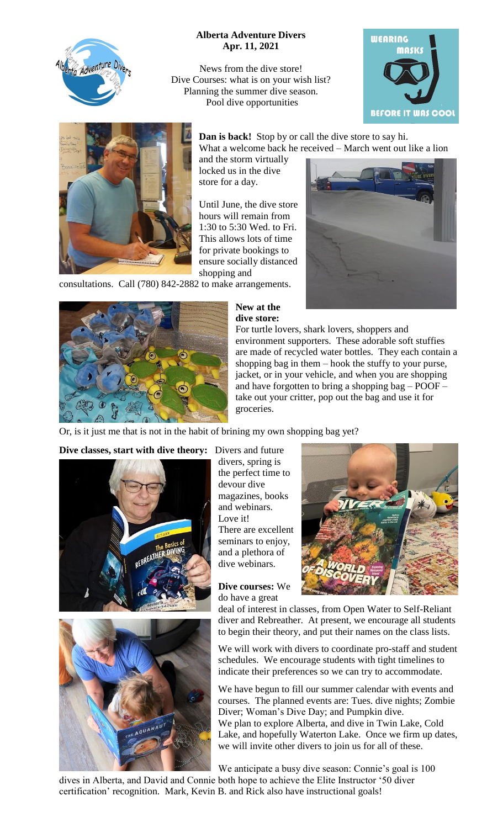

## **Alberta Adventure Divers Apr. 11, 2021**

News from the dive store! Dive Courses: what is on your wish list? Planning the summer dive season. Pool dive opportunities





**Dan is back!** Stop by or call the dive store to say hi. What a welcome back he received – March went out like a lion

and the storm virtually locked us in the dive store for a day.

Until June, the dive store hours will remain from 1:30 to 5:30 Wed. to Fri. This allows lots of time for private bookings to ensure socially distanced shopping and

consultations. Call (780) 842-2882 to make arrangements.



## **New at the dive store:**



For turtle lovers, shark lovers, shoppers and environment supporters. These adorable soft stuffies are made of recycled water bottles. They each contain a shopping bag in them – hook the stuffy to your purse, jacket, or in your vehicle, and when you are shopping and have forgotten to bring a shopping bag – POOF – take out your critter, pop out the bag and use it for groceries.

Or, is it just me that is not in the habit of brining my own shopping bag yet?

**Dive classes, start with dive theory:** Divers and future





divers, spring is the perfect time to devour dive magazines, books and webinars. Love it! There are excellent seminars to enjoy, and a plethora of dive webinars.

**Dive courses:** We do have a great



deal of interest in classes, from Open Water to Self-Reliant diver and Rebreather. At present, we encourage all students to begin their theory, and put their names on the class lists.

We will work with divers to coordinate pro-staff and student schedules. We encourage students with tight timelines to indicate their preferences so we can try to accommodate.

We have begun to fill our summer calendar with events and courses. The planned events are: Tues. dive nights; Zombie Diver; Woman's Dive Day; and Pumpkin dive. We plan to explore Alberta, and dive in Twin Lake, Cold Lake, and hopefully Waterton Lake. Once we firm up dates, we will invite other divers to join us for all of these.

We anticipate a busy dive season: Connie's goal is 100

dives in Alberta, and David and Connie both hope to achieve the Elite Instructor '50 diver certification' recognition. Mark, Kevin B. and Rick also have instructional goals!